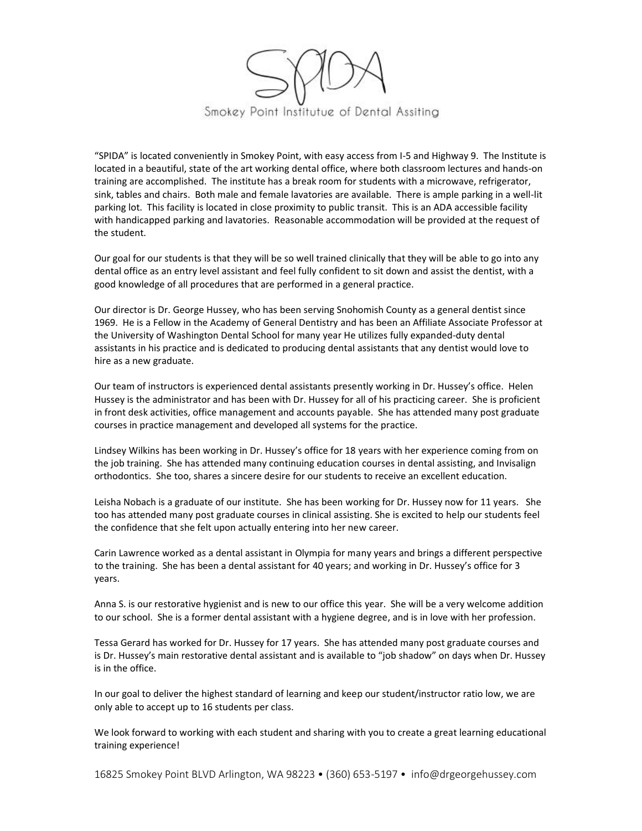

"SPIDA" is located conveniently in Smokey Point, with easy access from I-5 and Highway 9. The Institute is located in a beautiful, state of the art working dental office, where both classroom lectures and hands-on training are accomplished. The institute has a break room for students with a microwave, refrigerator, sink, tables and chairs. Both male and female lavatories are available. There is ample parking in a well-lit parking lot. This facility is located in close proximity to public transit. This is an ADA accessible facility with handicapped parking and lavatories. Reasonable accommodation will be provided at the request of the student.

Our goal for our students is that they will be so well trained clinically that they will be able to go into any dental office as an entry level assistant and feel fully confident to sit down and assist the dentist, with a good knowledge of all procedures that are performed in a general practice.

Our director is Dr. George Hussey, who has been serving Snohomish County as a general dentist since 1969. He is a Fellow in the Academy of General Dentistry and has been an Affiliate Associate Professor at the University of Washington Dental School for many year He utilizes fully expanded-duty dental assistants in his practice and is dedicated to producing dental assistants that any dentist would love to hire as a new graduate.

Our team of instructors is experienced dental assistants presently working in Dr. Hussey's office. Helen Hussey is the administrator and has been with Dr. Hussey for all of his practicing career. She is proficient in front desk activities, office management and accounts payable. She has attended many post graduate courses in practice management and developed all systems for the practice.

Lindsey Wilkins has been working in Dr. Hussey's office for 18 years with her experience coming from on the job training. She has attended many continuing education courses in dental assisting, and Invisalign orthodontics. She too, shares a sincere desire for our students to receive an excellent education.

Leisha Nobach is a graduate of our institute. She has been working for Dr. Hussey now for 11 years. She too has attended many post graduate courses in clinical assisting. She is excited to help our students feel the confidence that she felt upon actually entering into her new career.

Carin Lawrence worked as a dental assistant in Olympia for many years and brings a different perspective to the training. She has been a dental assistant for 40 years; and working in Dr. Hussey's office for 3 years.

Anna S. is our restorative hygienist and is new to our office this year. She will be a very welcome addition to our school. She is a former dental assistant with a hygiene degree, and is in love with her profession.

Tessa Gerard has worked for Dr. Hussey for 17 years. She has attended many post graduate courses and is Dr. Hussey's main restorative dental assistant and is available to "job shadow" on days when Dr. Hussey is in the office.

In our goal to deliver the highest standard of learning and keep our student/instructor ratio low, we are only able to accept up to 16 students per class.

We look forward to working with each student and sharing with you to create a great learning educational training experience!

16825 Smokey Point BLVD Arlington, WA 98223 • (360) 653-5197 • info@drgeorgehussey.com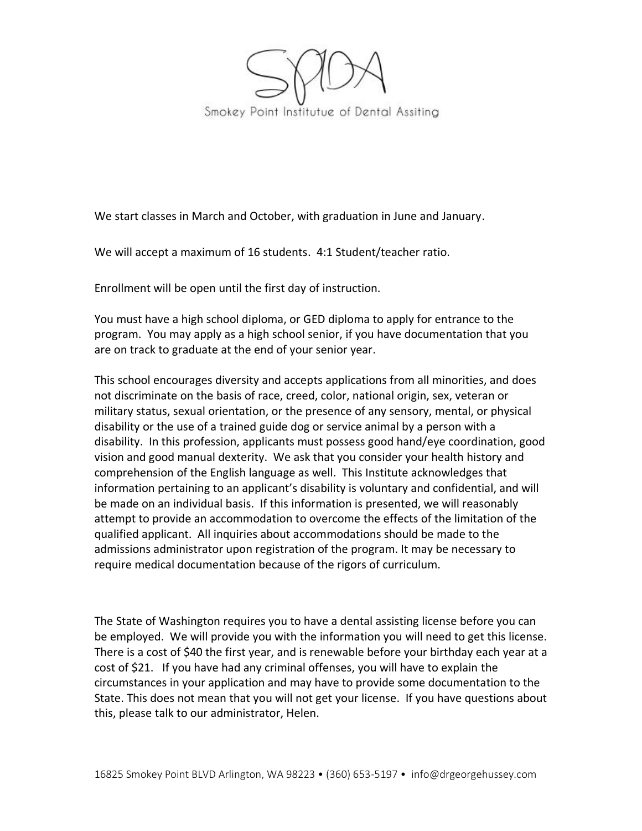

We start classes in March and October, with graduation in June and January.

We will accept a maximum of 16 students. 4:1 Student/teacher ratio.

Enrollment will be open until the first day of instruction.

You must have a high school diploma, or GED diploma to apply for entrance to the program. You may apply as a high school senior, if you have documentation that you are on track to graduate at the end of your senior year.

This school encourages diversity and accepts applications from all minorities, and does not discriminate on the basis of race, creed, color, national origin, sex, veteran or military status, sexual orientation, or the presence of any sensory, mental, or physical disability or the use of a trained guide dog or service animal by a person with a disability. In this profession, applicants must possess good hand/eye coordination, good vision and good manual dexterity. We ask that you consider your health history and comprehension of the English language as well. This Institute acknowledges that information pertaining to an applicant's disability is voluntary and confidential, and will be made on an individual basis. If this information is presented, we will reasonably attempt to provide an accommodation to overcome the effects of the limitation of the qualified applicant. All inquiries about accommodations should be made to the admissions administrator upon registration of the program. It may be necessary to require medical documentation because of the rigors of curriculum.

The State of Washington requires you to have a dental assisting license before you can be employed. We will provide you with the information you will need to get this license. There is a cost of \$40 the first year, and is renewable before your birthday each year at a cost of \$21. If you have had any criminal offenses, you will have to explain the circumstances in your application and may have to provide some documentation to the State. This does not mean that you will not get your license. If you have questions about this, please talk to our administrator, Helen.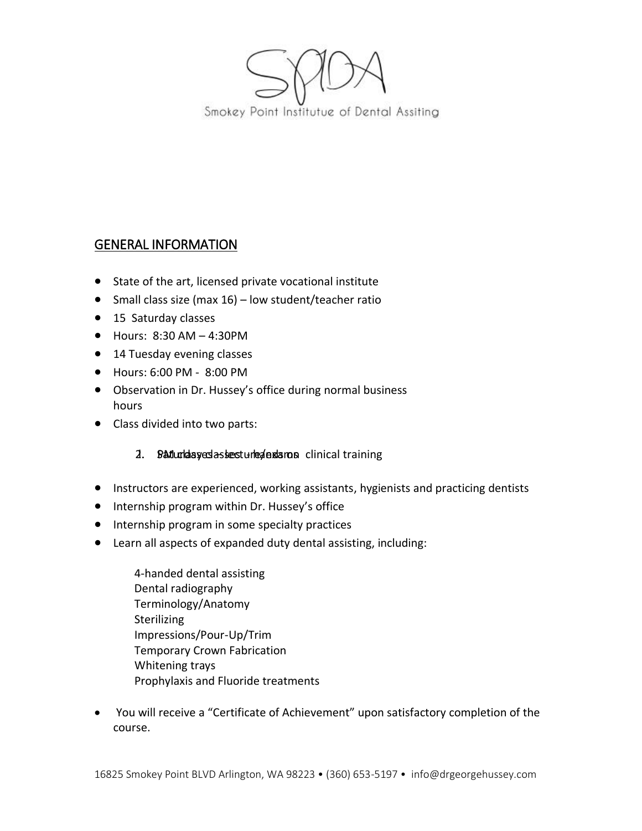

# GENERAL INFORMATION

- State of the art, licensed private vocational institute
- Small class size (max  $16$ ) low student/teacher ratio
- 15 Saturday classes
- $\bullet$  Hours: 8:30 AM 4:30 PM
- 14 Tuesday evening classes
- Hours: 6:00 PM 8:00 PM
- Observation in Dr. Hussey's office during normal business hours
- Class divided into two parts:

## 2. Baturday edasses ture de samos clinical training

- Instructors are experienced, working assistants, hygienists and practicing dentists
- Internship program within Dr. Hussey's office
- Internship program in some specialty practices
- Learn all aspects of expanded duty dental assisting, including:
	- 4-handed dental assisting Dental radiography Terminology/Anatomy **Sterilizing** Impressions/Pour-Up/Trim Temporary Crown Fabrication Whitening trays Prophylaxis and Fluoride treatments
- You will receive a "Certificate of Achievement" upon satisfactory completion of the course.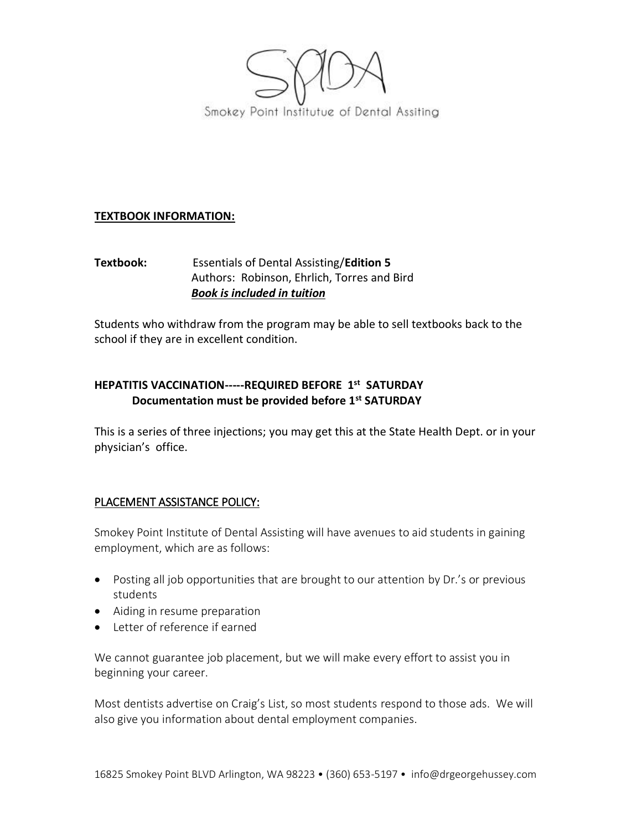

## **TEXTBOOK INFORMATION:**

## **Textbook:** Essentials of Dental Assisting/**Edition 5** Authors: Robinson, Ehrlich, Torres and Bird *Book is included in tuition*

Students who withdraw from the program may be able to sell textbooks back to the school if they are in excellent condition.

## **HEPATITIS VACCINATION-----REQUIRED BEFORE 1 st SATURDAY Documentation must be provided before 1st SATURDAY**

This is a series of three injections; you may get this at the State Health Dept. or in your physician's office.

## PLACEMENT ASSISTANCE POLICY:

Smokey Point Institute of Dental Assisting will have avenues to aid students in gaining employment, which are as follows:

- Posting all job opportunities that are brought to our attention by Dr.'s or previous students
- Aiding in resume preparation
- Letter of reference if earned

We cannot guarantee job placement, but we will make every effort to assist you in beginning your career.

Most dentists advertise on Craig's List, so most students respond to those ads. We will also give you information about dental employment companies.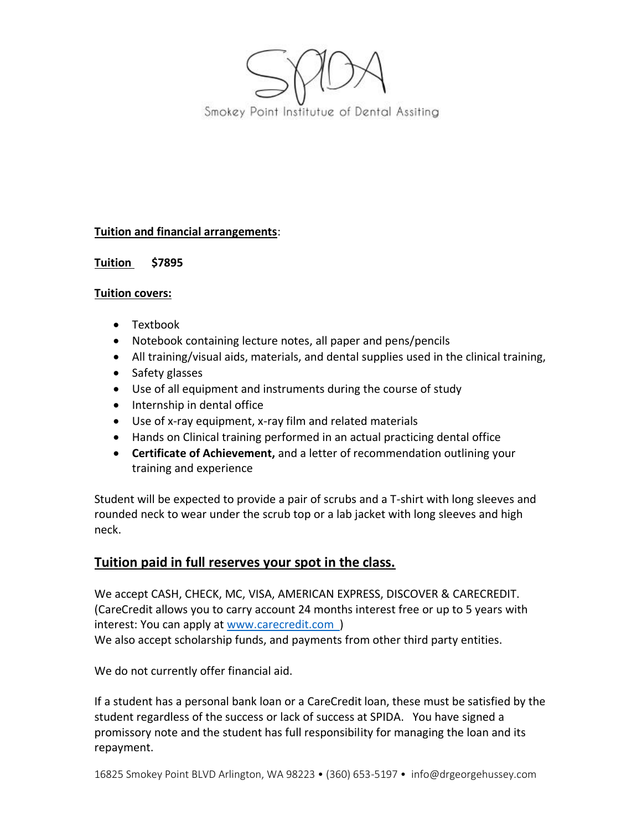

## **Tuition and financial arrangements**:

## **Tuition \$7895**

#### **Tuition covers:**

- Textbook
- Notebook containing lecture notes, all paper and pens/pencils
- All training/visual aids, materials, and dental supplies used in the clinical training,
- Safety glasses
- Use of all equipment and instruments during the course of study
- Internship in dental office
- Use of x-ray equipment, x-ray film and related materials
- Hands on Clinical training performed in an actual practicing dental office
- **Certificate of Achievement,** and a letter of recommendation outlining your training and experience

Student will be expected to provide a pair of scrubs and a T-shirt with long sleeves and rounded neck to wear under the scrub top or a lab jacket with long sleeves and high neck.

## **Tuition paid in full reserves your spot in the class.**

We accept CASH, CHECK, MC, VISA, AMERICAN EXPRESS, DISCOVER & CARECREDIT. (CareCredit allows you to carry account 24 months interest free or up to 5 years with interest: You can apply at www.carecredit.com ) We also accept scholarship funds, and payments from other third party entities.

We do not currently offer financial aid.

If a student has a personal bank loan or a CareCredit loan, these must be satisfied by the student regardless of the success or lack of success at SPIDA. You have signed a promissory note and the student has full responsibility for managing the loan and its repayment.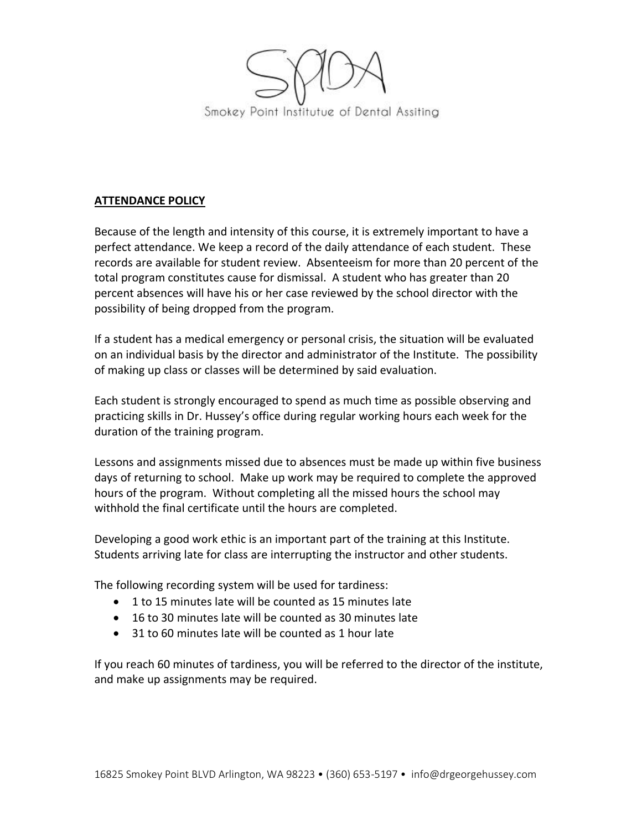

#### **ATTENDANCE POLICY**

Because of the length and intensity of this course, it is extremely important to have a perfect attendance. We keep a record of the daily attendance of each student. These records are available for student review. Absenteeism for more than 20 percent of the total program constitutes cause for dismissal. A student who has greater than 20 percent absences will have his or her case reviewed by the school director with the possibility of being dropped from the program.

If a student has a medical emergency or personal crisis, the situation will be evaluated on an individual basis by the director and administrator of the Institute. The possibility of making up class or classes will be determined by said evaluation.

Each student is strongly encouraged to spend as much time as possible observing and practicing skills in Dr. Hussey's office during regular working hours each week for the duration of the training program.

Lessons and assignments missed due to absences must be made up within five business days of returning to school. Make up work may be required to complete the approved hours of the program. Without completing all the missed hours the school may withhold the final certificate until the hours are completed.

Developing a good work ethic is an important part of the training at this Institute. Students arriving late for class are interrupting the instructor and other students.

The following recording system will be used for tardiness:

- 1 to 15 minutes late will be counted as 15 minutes late
- 16 to 30 minutes late will be counted as 30 minutes late
- 31 to 60 minutes late will be counted as 1 hour late

If you reach 60 minutes of tardiness, you will be referred to the director of the institute, and make up assignments may be required.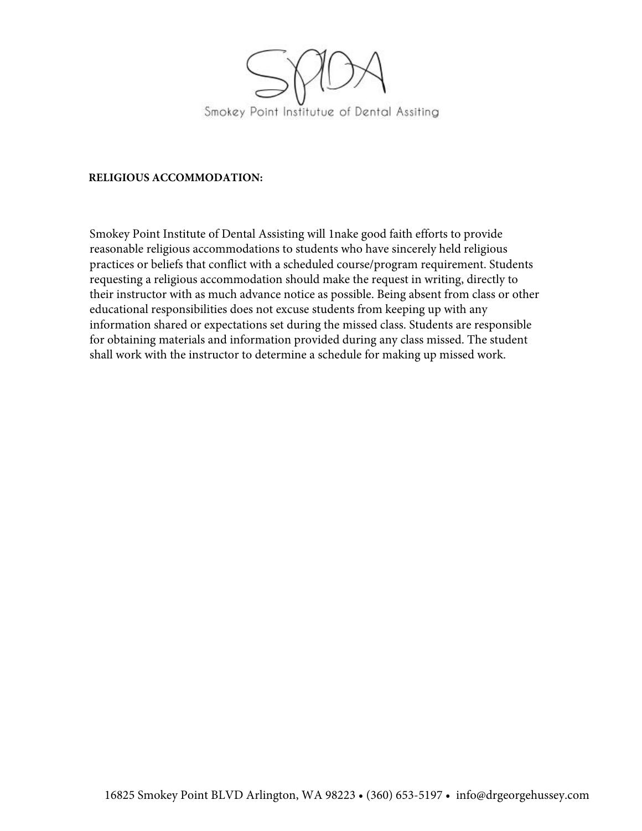

#### **RELIGIOUS ACCOMMODATION:**

Smokey Point Institute of Dental Assisting will 1nake good faith efforts to provide reasonable religious accommodations to students who have sincerely held religious practices or beliefs that conflict with a scheduled course/program requirement. Students requesting a religious accommodation should make the request in writing, directly to their instructor with as much advance notice as possible. Being absent from class or other educational responsibilities does not excuse students from keeping up with any information shared or expectations set during the missed class. Students are responsible for obtaining materials and information provided during any class missed. The student shall work with the instructor to determine a schedule for making up missed work.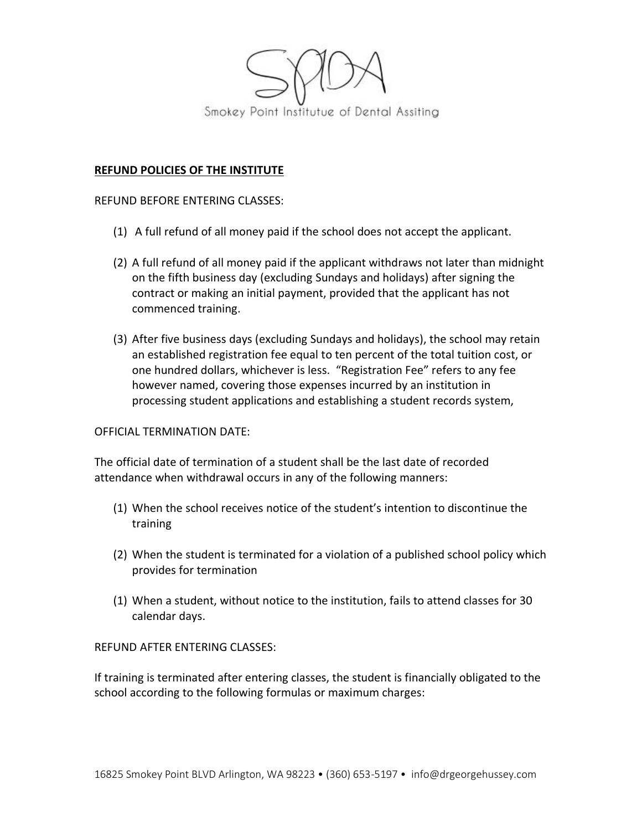

#### **REFUND POLICIES OF THE INSTITUTE**

#### REFUND BEFORE ENTERING CLASSES:

- (1) A full refund of all money paid if the school does not accept the applicant.
- (2) A full refund of all money paid if the applicant withdraws not later than midnight on the fifth business day (excluding Sundays and holidays) after signing the contract or making an initial payment, provided that the applicant has not commenced training.
- (3) After five business days (excluding Sundays and holidays), the school may retain an established registration fee equal to ten percent of the total tuition cost, or one hundred dollars, whichever is less. "Registration Fee" refers to any fee however named, covering those expenses incurred by an institution in processing student applications and establishing a student records system,

#### OFFICIAL TERMINATION DATE:

The official date of termination of a student shall be the last date of recorded attendance when withdrawal occurs in any of the following manners:

- (1) When the school receives notice of the student's intention to discontinue the training
- (2) When the student is terminated for a violation of a published school policy which provides for termination
- (1) When a student, without notice to the institution, fails to attend classes for 30 calendar days.

#### REFUND AFTER ENTERING CLASSES:

If training is terminated after entering classes, the student is financially obligated to the school according to the following formulas or maximum charges: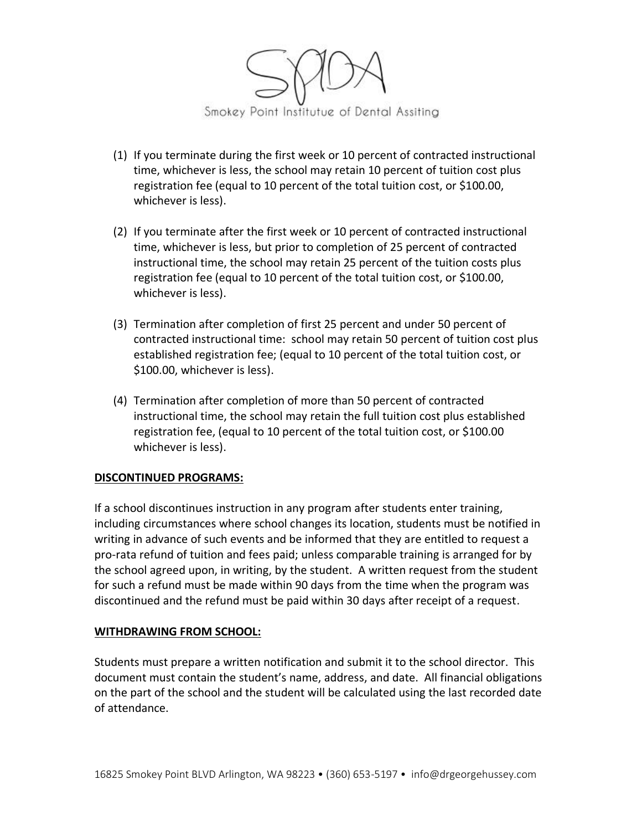

- (1) If you terminate during the first week or 10 percent of contracted instructional time, whichever is less, the school may retain 10 percent of tuition cost plus registration fee (equal to 10 percent of the total tuition cost, or \$100.00, whichever is less).
- (2) If you terminate after the first week or 10 percent of contracted instructional time, whichever is less, but prior to completion of 25 percent of contracted instructional time, the school may retain 25 percent of the tuition costs plus registration fee (equal to 10 percent of the total tuition cost, or \$100.00, whichever is less).
- (3) Termination after completion of first 25 percent and under 50 percent of contracted instructional time: school may retain 50 percent of tuition cost plus established registration fee; (equal to 10 percent of the total tuition cost, or \$100.00, whichever is less).
- (4) Termination after completion of more than 50 percent of contracted instructional time, the school may retain the full tuition cost plus established registration fee, (equal to 10 percent of the total tuition cost, or \$100.00 whichever is less).

#### **DISCONTINUED PROGRAMS:**

If a school discontinues instruction in any program after students enter training, including circumstances where school changes its location, students must be notified in writing in advance of such events and be informed that they are entitled to request a pro-rata refund of tuition and fees paid; unless comparable training is arranged for by the school agreed upon, in writing, by the student. A written request from the student for such a refund must be made within 90 days from the time when the program was discontinued and the refund must be paid within 30 days after receipt of a request.

#### **WITHDRAWING FROM SCHOOL:**

Students must prepare a written notification and submit it to the school director. This document must contain the student's name, address, and date. All financial obligations on the part of the school and the student will be calculated using the last recorded date of attendance.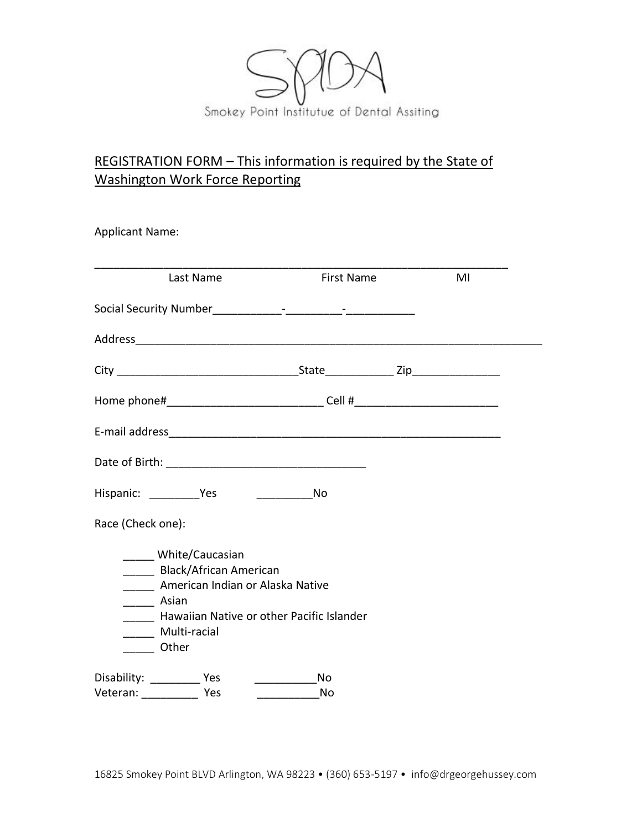

# REGISTRATION FORM – This information is required by the State of Washington Work Force Reporting

Applicant Name:

| Last Name                                                                                                                                                                                   | <b>First Name</b> | MI |
|---------------------------------------------------------------------------------------------------------------------------------------------------------------------------------------------|-------------------|----|
|                                                                                                                                                                                             |                   |    |
|                                                                                                                                                                                             |                   |    |
|                                                                                                                                                                                             |                   |    |
| Home phone#________________________________Cell #_______________________________                                                                                                            |                   |    |
|                                                                                                                                                                                             |                   |    |
|                                                                                                                                                                                             |                   |    |
| Hispanic: Yes                                                                                                                                                                               | No                |    |
| Race (Check one):                                                                                                                                                                           |                   |    |
| White/Caucasian<br>______ Black/African American<br>_____ American Indian or Alaska Native<br>______ Asian<br>Hawaiian Native or other Pacific Islander<br>_____ Multi-racial<br>____ Other |                   |    |
| Disability: ____________ Yes<br>Veteran: Yes                                                                                                                                                | No<br>No          |    |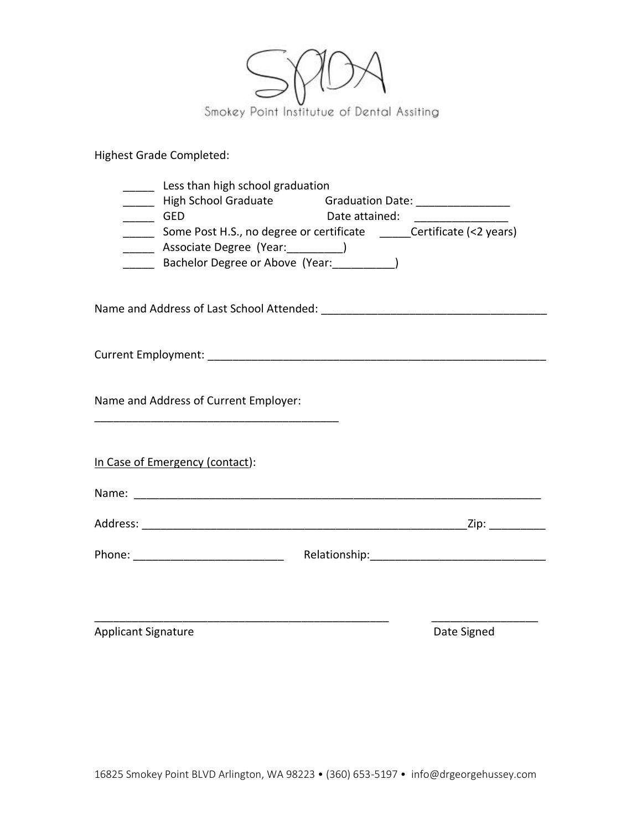

Highest Grade Completed:

| $\overline{\phantom{0}}$ GED | Less than high school graduation<br>_____ High School Graduate divided by Graduation Date: _________________________<br>______ Some Post H.S., no degree or certificate ______Certificate (<2 years)<br>_____ Associate Degree (Year:__________)<br>______ Bachelor Degree or Above (Year: ___________) | Date attained: |                   |
|------------------------------|---------------------------------------------------------------------------------------------------------------------------------------------------------------------------------------------------------------------------------------------------------------------------------------------------------|----------------|-------------------|
|                              |                                                                                                                                                                                                                                                                                                         |                |                   |
|                              |                                                                                                                                                                                                                                                                                                         |                |                   |
|                              | Name and Address of Current Employer:                                                                                                                                                                                                                                                                   |                |                   |
|                              | In Case of Emergency (contact):                                                                                                                                                                                                                                                                         |                |                   |
|                              |                                                                                                                                                                                                                                                                                                         |                |                   |
|                              |                                                                                                                                                                                                                                                                                                         |                | _Zip: ___________ |
|                              |                                                                                                                                                                                                                                                                                                         |                |                   |
| <b>Applicant Signature</b>   |                                                                                                                                                                                                                                                                                                         |                | Date Signed       |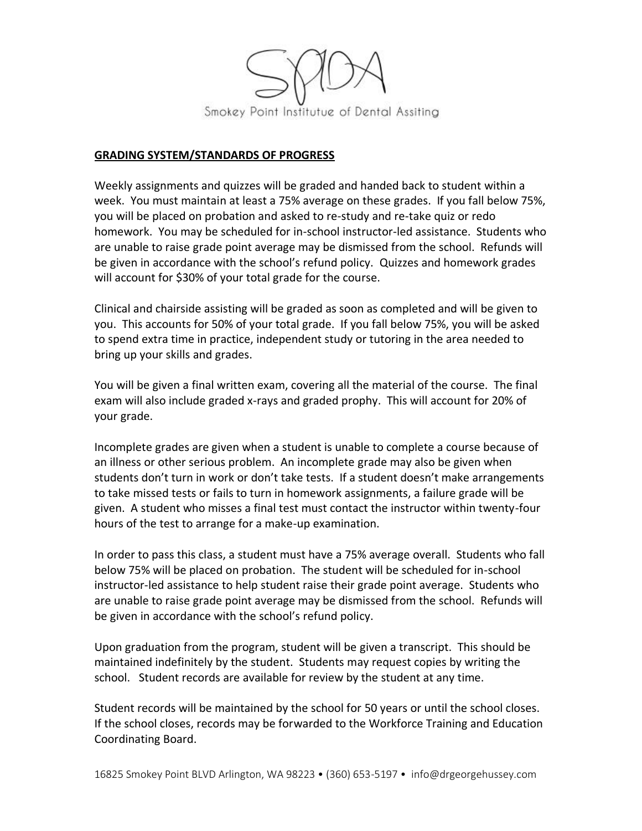

#### **GRADING SYSTEM/STANDARDS OF PROGRESS**

Weekly assignments and quizzes will be graded and handed back to student within a week. You must maintain at least a 75% average on these grades. If you fall below 75%, you will be placed on probation and asked to re-study and re-take quiz or redo homework. You may be scheduled for in-school instructor-led assistance. Students who are unable to raise grade point average may be dismissed from the school. Refunds will be given in accordance with the school's refund policy. Quizzes and homework grades will account for \$30% of your total grade for the course.

Clinical and chairside assisting will be graded as soon as completed and will be given to you. This accounts for 50% of your total grade. If you fall below 75%, you will be asked to spend extra time in practice, independent study or tutoring in the area needed to bring up your skills and grades.

You will be given a final written exam, covering all the material of the course. The final exam will also include graded x-rays and graded prophy. This will account for 20% of your grade.

Incomplete grades are given when a student is unable to complete a course because of an illness or other serious problem. An incomplete grade may also be given when students don't turn in work or don't take tests. If a student doesn't make arrangements to take missed tests or fails to turn in homework assignments, a failure grade will be given. A student who misses a final test must contact the instructor within twenty-four hours of the test to arrange for a make-up examination.

In order to pass this class, a student must have a 75% average overall. Students who fall below 75% will be placed on probation. The student will be scheduled for in-school instructor-led assistance to help student raise their grade point average. Students who are unable to raise grade point average may be dismissed from the school. Refunds will be given in accordance with the school's refund policy.

Upon graduation from the program, student will be given a transcript. This should be maintained indefinitely by the student. Students may request copies by writing the school. Student records are available for review by the student at any time.

Student records will be maintained by the school for 50 years or until the school closes. If the school closes, records may be forwarded to the Workforce Training and Education Coordinating Board.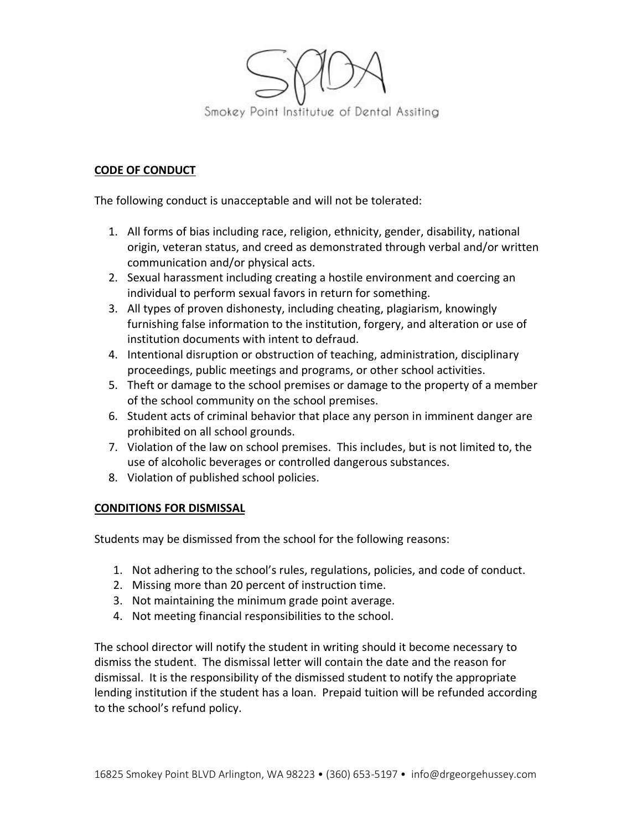

## **CODE OF CONDUCT**

The following conduct is unacceptable and will not be tolerated:

- 1. All forms of bias including race, religion, ethnicity, gender, disability, national origin, veteran status, and creed as demonstrated through verbal and/or written communication and/or physical acts.
- 2. Sexual harassment including creating a hostile environment and coercing an individual to perform sexual favors in return for something.
- 3. All types of proven dishonesty, including cheating, plagiarism, knowingly furnishing false information to the institution, forgery, and alteration or use of institution documents with intent to defraud.
- 4. Intentional disruption or obstruction of teaching, administration, disciplinary proceedings, public meetings and programs, or other school activities.
- 5. Theft or damage to the school premises or damage to the property of a member of the school community on the school premises.
- 6. Student acts of criminal behavior that place any person in imminent danger are prohibited on all school grounds.
- 7. Violation of the law on school premises. This includes, but is not limited to, the use of alcoholic beverages or controlled dangerous substances.
- 8. Violation of published school policies.

#### **CONDITIONS FOR DISMISSAL**

Students may be dismissed from the school for the following reasons:

- 1. Not adhering to the school's rules, regulations, policies, and code of conduct.
- 2. Missing more than 20 percent of instruction time.
- 3. Not maintaining the minimum grade point average.
- 4. Not meeting financial responsibilities to the school.

The school director will notify the student in writing should it become necessary to dismiss the student. The dismissal letter will contain the date and the reason for dismissal. It is the responsibility of the dismissed student to notify the appropriate lending institution if the student has a loan. Prepaid tuition will be refunded according to the school's refund policy.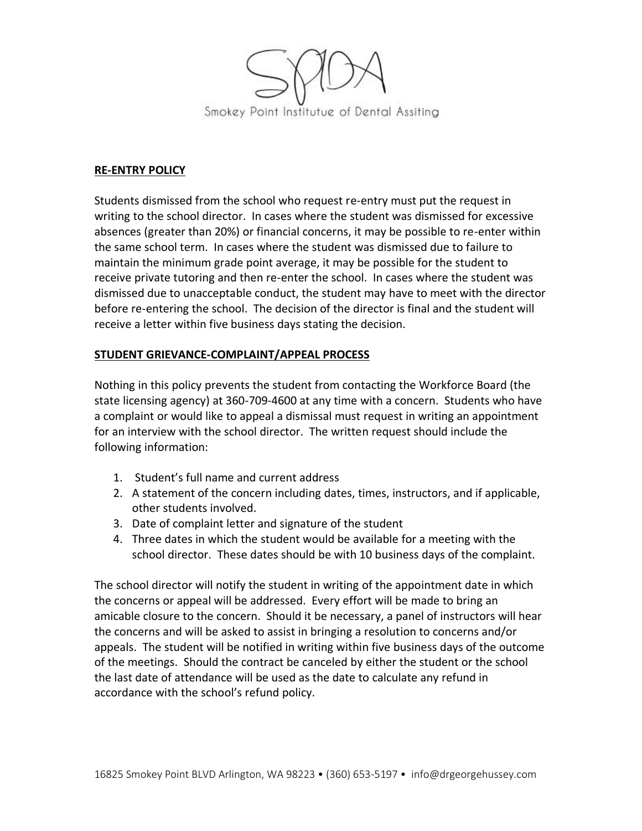

## **RE-ENTRY POLICY**

Students dismissed from the school who request re-entry must put the request in writing to the school director. In cases where the student was dismissed for excessive absences (greater than 20%) or financial concerns, it may be possible to re-enter within the same school term. In cases where the student was dismissed due to failure to maintain the minimum grade point average, it may be possible for the student to receive private tutoring and then re-enter the school. In cases where the student was dismissed due to unacceptable conduct, the student may have to meet with the director before re-entering the school. The decision of the director is final and the student will receive a letter within five business days stating the decision.

## **STUDENT GRIEVANCE-COMPLAINT/APPEAL PROCESS**

Nothing in this policy prevents the student from contacting the Workforce Board (the state licensing agency) at 360-709-4600 at any time with a concern. Students who have a complaint or would like to appeal a dismissal must request in writing an appointment for an interview with the school director. The written request should include the following information:

- 1. Student's full name and current address
- 2. A statement of the concern including dates, times, instructors, and if applicable, other students involved.
- 3. Date of complaint letter and signature of the student
- 4. Three dates in which the student would be available for a meeting with the school director. These dates should be with 10 business days of the complaint.

The school director will notify the student in writing of the appointment date in which the concerns or appeal will be addressed. Every effort will be made to bring an amicable closure to the concern. Should it be necessary, a panel of instructors will hear the concerns and will be asked to assist in bringing a resolution to concerns and/or appeals. The student will be notified in writing within five business days of the outcome of the meetings. Should the contract be canceled by either the student or the school the last date of attendance will be used as the date to calculate any refund in accordance with the school's refund policy.